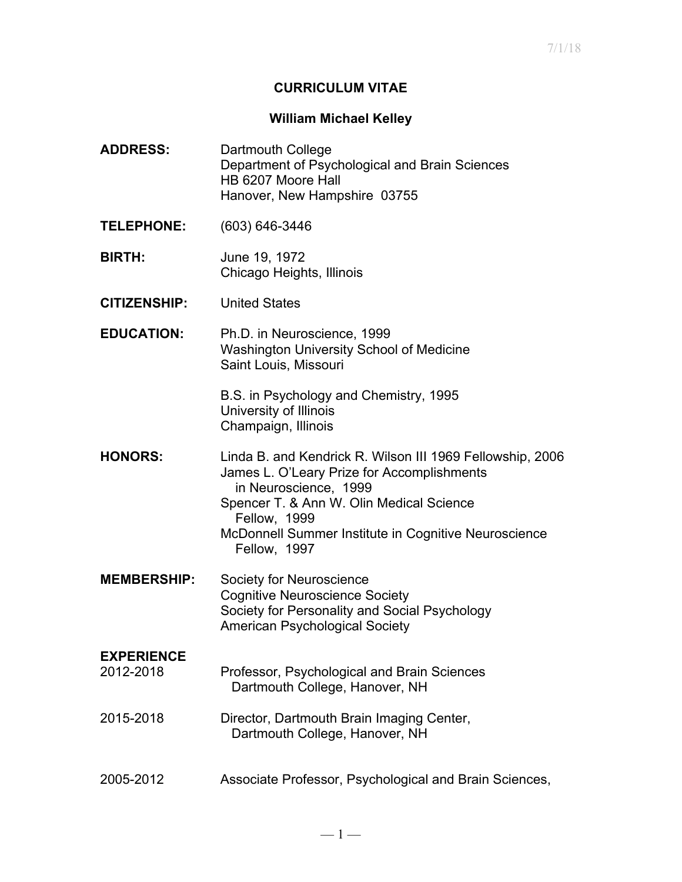### **CURRICULUM VITAE**

#### **William Michael Kelley**

**ADDRESS:** Dartmouth College Department of Psychological and Brain Sciences HB 6207 Moore Hall Hanover, New Hampshire 03755 **TELEPHONE:** (603) 646-3446 **BIRTH:** June 19, 1972 Chicago Heights, Illinois **CITIZENSHIP:** United States **EDUCATION:** Ph.D. in Neuroscience, 1999 Washington University School of Medicine Saint Louis, Missouri B.S. in Psychology and Chemistry, 1995 University of Illinois Champaign, Illinois **HONORS:** Linda B. and Kendrick R. Wilson III 1969 Fellowship, 2006 James L. O'Leary Prize for Accomplishments in Neuroscience, 1999 Spencer T. & Ann W. Olin Medical Science Fellow, 1999 McDonnell Summer Institute in Cognitive Neuroscience Fellow, 1997 **MEMBERSHIP:** Society for Neuroscience Cognitive Neuroscience Society Society for Personality and Social Psychology American Psychological Society **EXPERIENCE** 2012-2018 Professor, Psychological and Brain Sciences Dartmouth College, Hanover, NH 2015-2018 Director, Dartmouth Brain Imaging Center, Dartmouth College, Hanover, NH 2005-2012 Associate Professor, Psychological and Brain Sciences,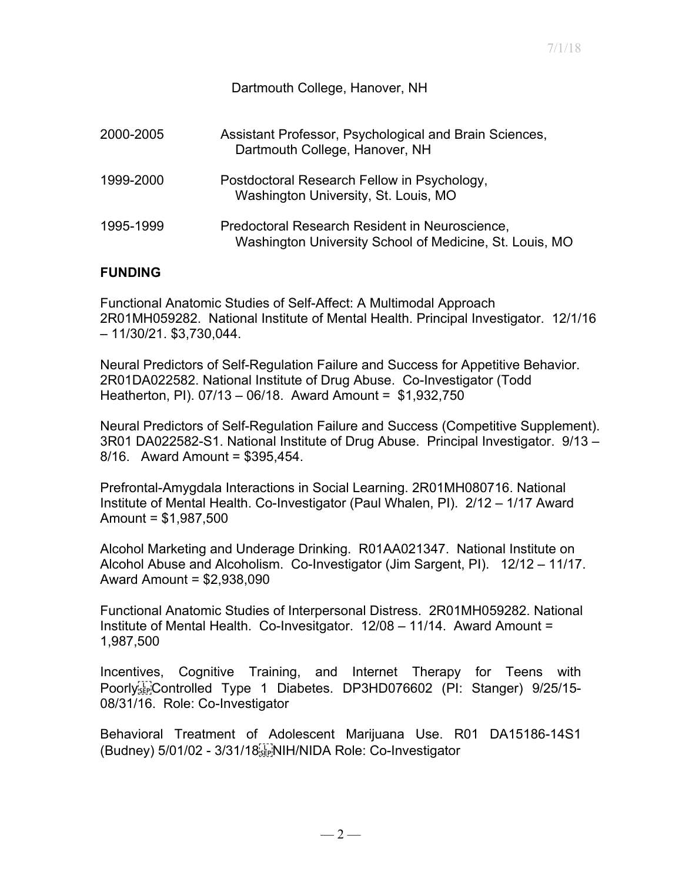### Dartmouth College, Hanover, NH

| 2000-2005 | Assistant Professor, Psychological and Brain Sciences,<br>Dartmouth College, Hanover, NH                  |
|-----------|-----------------------------------------------------------------------------------------------------------|
| 1999-2000 | Postdoctoral Research Fellow in Psychology,<br>Washington University, St. Louis, MO                       |
| 1995-1999 | Predoctoral Research Resident in Neuroscience,<br>Washington University School of Medicine, St. Louis, MO |

## **FUNDING**

Functional Anatomic Studies of Self-Affect: A Multimodal Approach 2R01MH059282. National Institute of Mental Health. Principal Investigator. 12/1/16 – 11/30/21. \$3,730,044.

Neural Predictors of Self-Regulation Failure and Success for Appetitive Behavior. 2R01DA022582. National Institute of Drug Abuse. Co-Investigator (Todd Heatherton, PI). 07/13 – 06/18. Award Amount = \$1,932,750

Neural Predictors of Self-Regulation Failure and Success (Competitive Supplement). 3R01 DA022582-S1. National Institute of Drug Abuse. Principal Investigator. 9/13 – 8/16. Award Amount = \$395,454.

Prefrontal-Amygdala Interactions in Social Learning. 2R01MH080716. National Institute of Mental Health. Co-Investigator (Paul Whalen, PI). 2/12 – 1/17 Award Amount = \$1,987,500

Alcohol Marketing and Underage Drinking. R01AA021347. National Institute on Alcohol Abuse and Alcoholism. Co-Investigator (Jim Sargent, PI). 12/12 – 11/17. Award Amount = \$2,938,090

Functional Anatomic Studies of Interpersonal Distress. 2R01MH059282. National Institute of Mental Health. Co-Invesitgator. 12/08 – 11/14. Award Amount = 1,987,500

Incentives, Cognitive Training, and Internet Therapy for Teens with Poorly<sup>[1]</sup>Controlled Type 1 Diabetes. DP3HD076602 (PI: Stanger) 9/25/15-08/31/16. Role: Co-Investigator

Behavioral Treatment of Adolescent Marijuana Use. R01 DA15186-14S1 (Budney) 5/01/02 - 3/31/18 E NIH/NIDA Role: Co-Investigator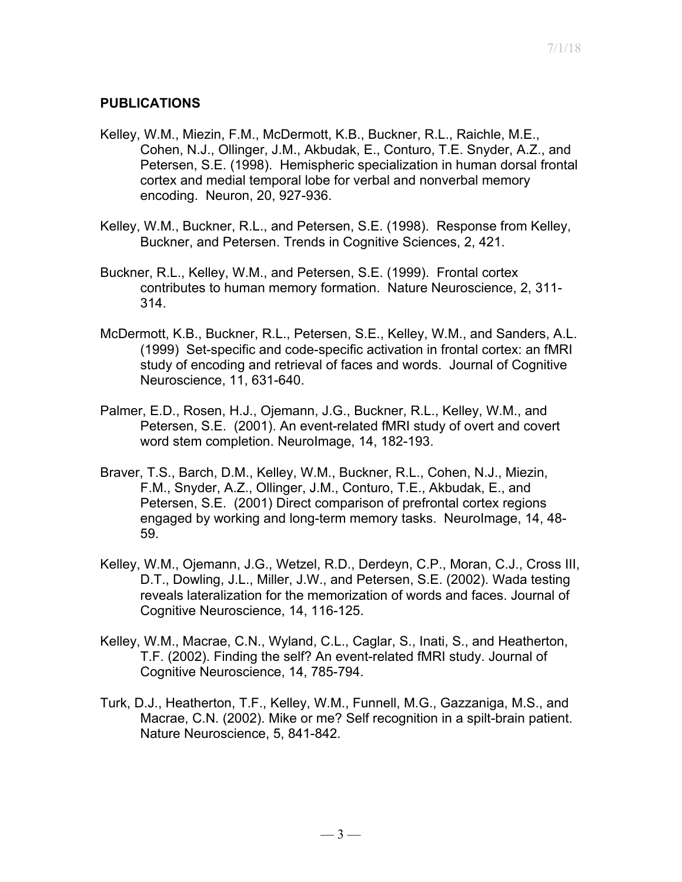# **PUBLICATIONS**

- Kelley, W.M., Miezin, F.M., McDermott, K.B., Buckner, R.L., Raichle, M.E., Cohen, N.J., Ollinger, J.M., Akbudak, E., Conturo, T.E. Snyder, A.Z., and Petersen, S.E. (1998). Hemispheric specialization in human dorsal frontal cortex and medial temporal lobe for verbal and nonverbal memory encoding. Neuron, 20, 927-936.
- Kelley, W.M., Buckner, R.L., and Petersen, S.E. (1998). Response from Kelley, Buckner, and Petersen. Trends in Cognitive Sciences, 2, 421.
- Buckner, R.L., Kelley, W.M., and Petersen, S.E. (1999). Frontal cortex contributes to human memory formation. Nature Neuroscience, 2, 311- 314.
- McDermott, K.B., Buckner, R.L., Petersen, S.E., Kelley, W.M., and Sanders, A.L. (1999) Set-specific and code-specific activation in frontal cortex: an fMRI study of encoding and retrieval of faces and words. Journal of Cognitive Neuroscience, 11, 631-640.
- Palmer, E.D., Rosen, H.J., Ojemann, J.G., Buckner, R.L., Kelley, W.M., and Petersen, S.E. (2001). An event-related fMRI study of overt and covert word stem completion. NeuroImage, 14, 182-193.
- Braver, T.S., Barch, D.M., Kelley, W.M., Buckner, R.L., Cohen, N.J., Miezin, F.M., Snyder, A.Z., Ollinger, J.M., Conturo, T.E., Akbudak, E., and Petersen, S.E. (2001) Direct comparison of prefrontal cortex regions engaged by working and long-term memory tasks. NeuroImage, 14, 48- 59.
- Kelley, W.M., Ojemann, J.G., Wetzel, R.D., Derdeyn, C.P., Moran, C.J., Cross III, D.T., Dowling, J.L., Miller, J.W., and Petersen, S.E. (2002). Wada testing reveals lateralization for the memorization of words and faces. Journal of Cognitive Neuroscience, 14, 116-125.
- Kelley, W.M., Macrae, C.N., Wyland, C.L., Caglar, S., Inati, S., and Heatherton, T.F. (2002). Finding the self? An event-related fMRI study. Journal of Cognitive Neuroscience, 14, 785-794.
- Turk, D.J., Heatherton, T.F., Kelley, W.M., Funnell, M.G., Gazzaniga, M.S., and Macrae, C.N. (2002). Mike or me? Self recognition in a spilt-brain patient. Nature Neuroscience, 5, 841-842.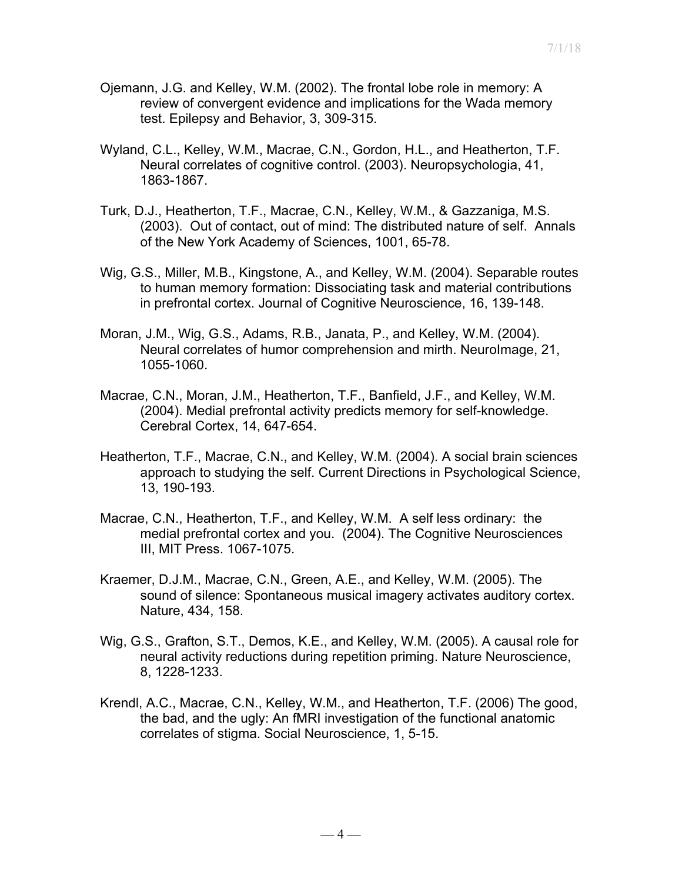- Ojemann, J.G. and Kelley, W.M. (2002). The frontal lobe role in memory: A review of convergent evidence and implications for the Wada memory test. Epilepsy and Behavior, 3, 309-315.
- Wyland, C.L., Kelley, W.M., Macrae, C.N., Gordon, H.L., and Heatherton, T.F. Neural correlates of cognitive control. (2003). Neuropsychologia, 41, 1863-1867.
- Turk, D.J., Heatherton, T.F., Macrae, C.N., Kelley, W.M., & Gazzaniga, M.S. (2003). Out of contact, out of mind: The distributed nature of self. Annals of the New York Academy of Sciences, 1001, 65-78.
- Wig, G.S., Miller, M.B., Kingstone, A., and Kelley, W.M. (2004). Separable routes to human memory formation: Dissociating task and material contributions in prefrontal cortex. Journal of Cognitive Neuroscience, 16, 139-148.
- Moran, J.M., Wig, G.S., Adams, R.B., Janata, P., and Kelley, W.M. (2004). Neural correlates of humor comprehension and mirth. NeuroImage, 21, 1055-1060.
- Macrae, C.N., Moran, J.M., Heatherton, T.F., Banfield, J.F., and Kelley, W.M. (2004). Medial prefrontal activity predicts memory for self-knowledge. Cerebral Cortex, 14, 647-654.
- Heatherton, T.F., Macrae, C.N., and Kelley, W.M. (2004). A social brain sciences approach to studying the self. Current Directions in Psychological Science, 13, 190-193.
- Macrae, C.N., Heatherton, T.F., and Kelley, W.M. A self less ordinary: the medial prefrontal cortex and you. (2004). The Cognitive Neurosciences III, MIT Press. 1067-1075.
- Kraemer, D.J.M., Macrae, C.N., Green, A.E., and Kelley, W.M. (2005). The sound of silence: Spontaneous musical imagery activates auditory cortex. Nature, 434, 158.
- Wig, G.S., Grafton, S.T., Demos, K.E., and Kelley, W.M. (2005). A causal role for neural activity reductions during repetition priming. Nature Neuroscience, 8, 1228-1233.
- Krendl, A.C., Macrae, C.N., Kelley, W.M., and Heatherton, T.F. (2006) The good, the bad, and the ugly: An fMRI investigation of the functional anatomic correlates of stigma. Social Neuroscience, 1, 5-15.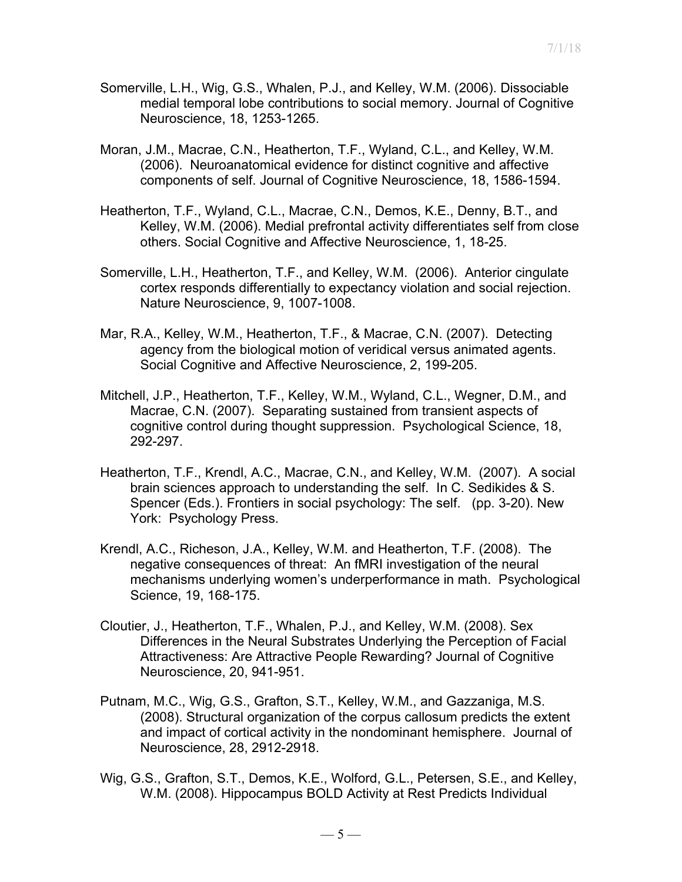- Somerville, L.H., Wig, G.S., Whalen, P.J., and Kelley, W.M. (2006). Dissociable medial temporal lobe contributions to social memory. Journal of Cognitive Neuroscience, 18, 1253-1265.
- Moran, J.M., Macrae, C.N., Heatherton, T.F., Wyland, C.L., and Kelley, W.M. (2006). Neuroanatomical evidence for distinct cognitive and affective components of self. Journal of Cognitive Neuroscience, 18, 1586-1594.
- Heatherton, T.F., Wyland, C.L., Macrae, C.N., Demos, K.E., Denny, B.T., and Kelley, W.M. (2006). Medial prefrontal activity differentiates self from close others. Social Cognitive and Affective Neuroscience, 1, 18-25.
- Somerville, L.H., Heatherton, T.F., and Kelley, W.M. (2006). Anterior cingulate cortex responds differentially to expectancy violation and social rejection. Nature Neuroscience, 9, 1007-1008.
- Mar, R.A., Kelley, W.M., Heatherton, T.F., & Macrae, C.N. (2007). Detecting agency from the biological motion of veridical versus animated agents. Social Cognitive and Affective Neuroscience, 2, 199-205.
- Mitchell, J.P., Heatherton, T.F., Kelley, W.M., Wyland, C.L., Wegner, D.M., and Macrae, C.N. (2007). Separating sustained from transient aspects of cognitive control during thought suppression. Psychological Science, 18, 292-297.
- Heatherton, T.F., Krendl, A.C., Macrae, C.N., and Kelley, W.M. (2007). A social brain sciences approach to understanding the self. In C. Sedikides & S. Spencer (Eds.). Frontiers in social psychology: The self. (pp. 3-20). New York: Psychology Press.
- Krendl, A.C., Richeson, J.A., Kelley, W.M. and Heatherton, T.F. (2008). The negative consequences of threat: An fMRI investigation of the neural mechanisms underlying women's underperformance in math. Psychological Science, 19, 168-175.
- Cloutier, J., Heatherton, T.F., Whalen, P.J., and Kelley, W.M. (2008). Sex Differences in the Neural Substrates Underlying the Perception of Facial Attractiveness: Are Attractive People Rewarding? Journal of Cognitive Neuroscience, 20, 941-951.
- Putnam, M.C., Wig, G.S., Grafton, S.T., Kelley, W.M., and Gazzaniga, M.S. (2008). Structural organization of the corpus callosum predicts the extent and impact of cortical activity in the nondominant hemisphere. Journal of Neuroscience, 28, 2912-2918.
- Wig, G.S., Grafton, S.T., Demos, K.E., Wolford, G.L., Petersen, S.E., and Kelley, W.M. (2008). Hippocampus BOLD Activity at Rest Predicts Individual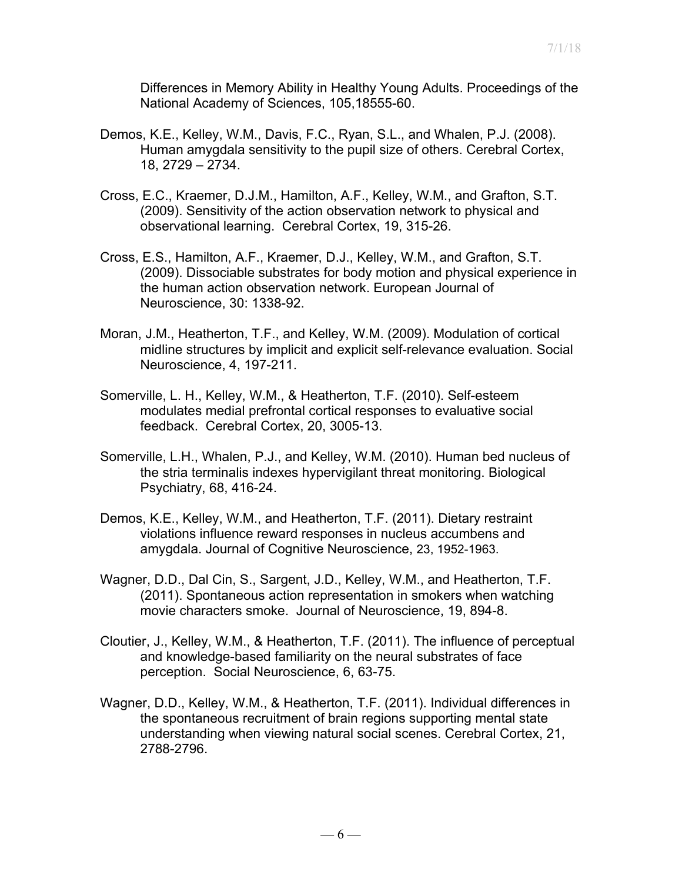Differences in Memory Ability in Healthy Young Adults. Proceedings of the National Academy of Sciences, 105,18555-60.

- Demos, K.E., Kelley, W.M., Davis, F.C., Ryan, S.L., and Whalen, P.J. (2008). Human amygdala sensitivity to the pupil size of others. Cerebral Cortex, 18, 2729 – 2734.
- Cross, E.C., Kraemer, D.J.M., Hamilton, A.F., Kelley, W.M., and Grafton, S.T. (2009). Sensitivity of the action observation network to physical and observational learning. Cerebral Cortex, 19, 315-26.
- Cross, E.S., Hamilton, A.F., Kraemer, D.J., Kelley, W.M., and Grafton, S.T. (2009). Dissociable substrates for body motion and physical experience in the human action observation network. European Journal of Neuroscience, 30: 1338-92.
- Moran, J.M., Heatherton, T.F., and Kelley, W.M. (2009). Modulation of cortical midline structures by implicit and explicit self-relevance evaluation. Social Neuroscience, 4, 197-211.
- Somerville, L. H., Kelley, W.M., & Heatherton, T.F. (2010). Self-esteem modulates medial prefrontal cortical responses to evaluative social feedback. Cerebral Cortex, 20, 3005-13.
- Somerville, L.H., Whalen, P.J., and Kelley, W.M. (2010). Human bed nucleus of the stria terminalis indexes hypervigilant threat monitoring. Biological Psychiatry, 68, 416-24.
- Demos, K.E., Kelley, W.M., and Heatherton, T.F. (2011). Dietary restraint violations influence reward responses in nucleus accumbens and amygdala. Journal of Cognitive Neuroscience, 23, 1952-1963.
- Wagner, D.D., Dal Cin, S., Sargent, J.D., Kelley, W.M., and Heatherton, T.F. (2011). Spontaneous action representation in smokers when watching movie characters smoke. Journal of Neuroscience, 19, 894-8.
- Cloutier, J., Kelley, W.M., & Heatherton, T.F. (2011). The influence of perceptual and knowledge-based familiarity on the neural substrates of face perception. Social Neuroscience, 6, 63-75.
- Wagner, D.D., Kelley, W.M., & Heatherton, T.F. (2011). Individual differences in the spontaneous recruitment of brain regions supporting mental state understanding when viewing natural social scenes. Cerebral Cortex, 21, 2788-2796.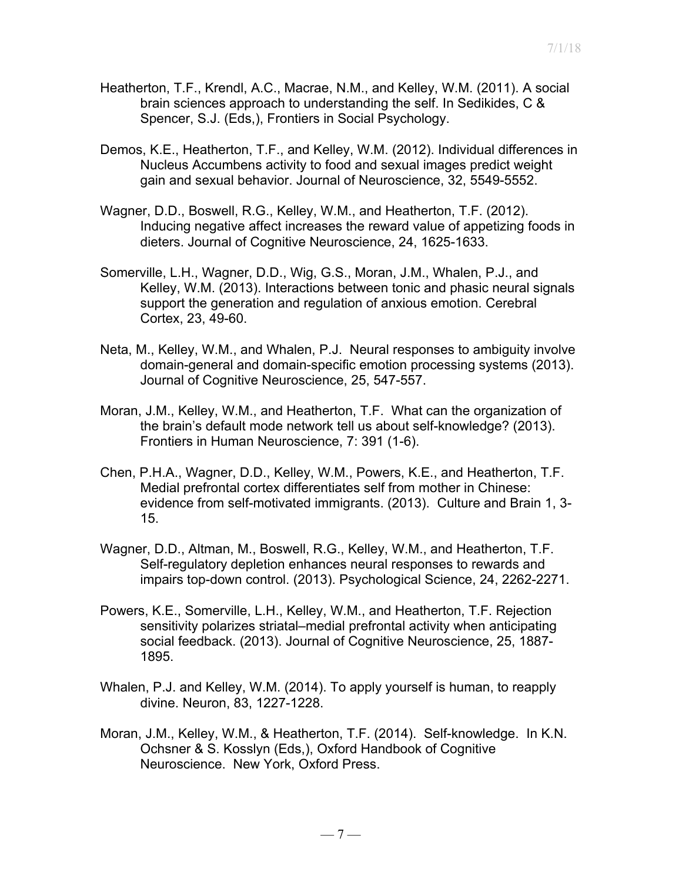- Heatherton, T.F., Krendl, A.C., Macrae, N.M., and Kelley, W.M. (2011). A social brain sciences approach to understanding the self. In Sedikides, C & Spencer, S.J. (Eds,), Frontiers in Social Psychology.
- Demos, K.E., Heatherton, T.F., and Kelley, W.M. (2012). Individual differences in Nucleus Accumbens activity to food and sexual images predict weight gain and sexual behavior. Journal of Neuroscience, 32, 5549-5552.
- Wagner, D.D., Boswell, R.G., Kelley, W.M., and Heatherton, T.F. (2012). Inducing negative affect increases the reward value of appetizing foods in dieters. Journal of Cognitive Neuroscience, 24, 1625-1633.
- Somerville, L.H., Wagner, D.D., Wig, G.S., Moran, J.M., Whalen, P.J., and Kelley, W.M. (2013). Interactions between tonic and phasic neural signals support the generation and regulation of anxious emotion. Cerebral Cortex, 23, 49-60.
- Neta, M., Kelley, W.M., and Whalen, P.J. Neural responses to ambiguity involve domain-general and domain-specific emotion processing systems (2013). Journal of Cognitive Neuroscience, 25, 547-557.
- Moran, J.M., Kelley, W.M., and Heatherton, T.F. What can the organization of the brain's default mode network tell us about self-knowledge? (2013). Frontiers in Human Neuroscience, 7: 391 (1-6).
- Chen, P.H.A., Wagner, D.D., Kelley, W.M., Powers, K.E., and Heatherton, T.F. Medial prefrontal cortex differentiates self from mother in Chinese: evidence from self-motivated immigrants. (2013). Culture and Brain 1, 3- 15.
- Wagner, D.D., Altman, M., Boswell, R.G., Kelley, W.M., and Heatherton, T.F. Self-regulatory depletion enhances neural responses to rewards and impairs top-down control. (2013). Psychological Science, 24, 2262-2271.
- Powers, K.E., Somerville, L.H., Kelley, W.M., and Heatherton, T.F. Rejection sensitivity polarizes striatal–medial prefrontal activity when anticipating social feedback. (2013). Journal of Cognitive Neuroscience, 25, 1887- 1895.
- Whalen, P.J. and Kelley, W.M. (2014). To apply yourself is human, to reapply divine. Neuron, 83, 1227-1228.
- Moran, J.M., Kelley, W.M., & Heatherton, T.F. (2014). Self-knowledge. In K.N. Ochsner & S. Kosslyn (Eds,), Oxford Handbook of Cognitive Neuroscience. New York, Oxford Press.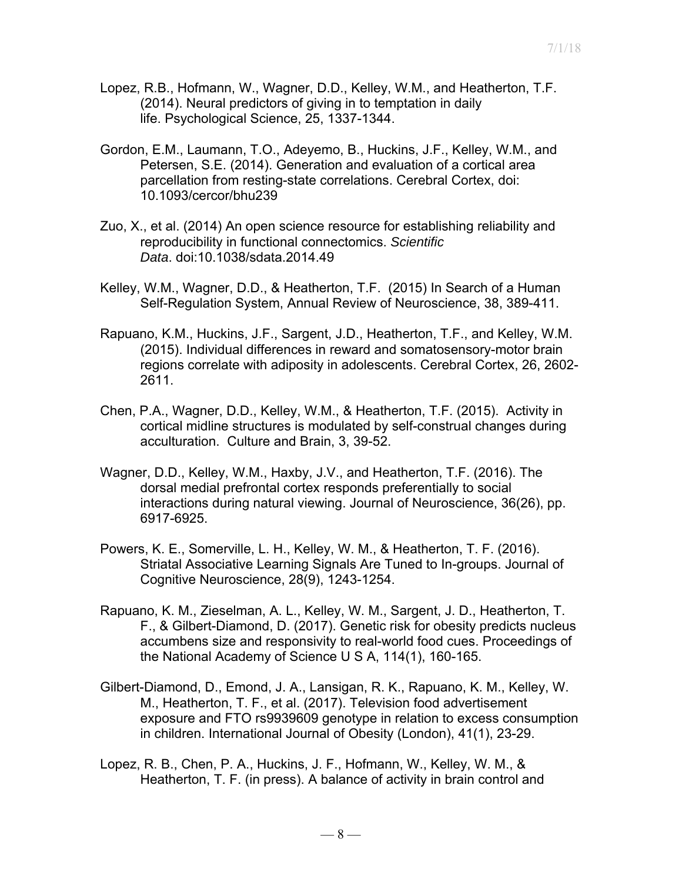- Lopez, R.B., Hofmann, W., Wagner, D.D., Kelley, W.M., and Heatherton, T.F. (2014). Neural predictors of giving in to temptation in daily life. Psychological Science, 25, 1337-1344.
- Gordon, E.M., Laumann, T.O., Adeyemo, B., Huckins, J.F., Kelley, W.M., and Petersen, S.E. (2014). Generation and evaluation of a cortical area parcellation from resting-state correlations. Cerebral Cortex, doi: 10.1093/cercor/bhu239
- Zuo, X., et al. (2014) An open science resource for establishing reliability and reproducibility in functional connectomics. *Scientific Data*. doi:10.1038/sdata.2014.49
- Kelley, W.M., Wagner, D.D., & Heatherton, T.F. (2015) In Search of a Human Self-Regulation System, Annual Review of Neuroscience, 38, 389-411.
- Rapuano, K.M., Huckins, J.F., Sargent, J.D., Heatherton, T.F., and Kelley, W.M. (2015). Individual differences in reward and somatosensory-motor brain regions correlate with adiposity in adolescents. Cerebral Cortex, 26, 2602- 2611.
- Chen, P.A., Wagner, D.D., Kelley, W.M., & Heatherton, T.F. (2015). Activity in cortical midline structures is modulated by self-construal changes during acculturation. Culture and Brain, 3, 39-52.
- Wagner, D.D., Kelley, W.M., Haxby, J.V., and Heatherton, T.F. (2016). The dorsal medial prefrontal cortex responds preferentially to social interactions during natural viewing. Journal of Neuroscience, 36(26), pp. 6917-6925.
- Powers, K. E., Somerville, L. H., Kelley, W. M., & Heatherton, T. F. (2016). Striatal Associative Learning Signals Are Tuned to In-groups. Journal of Cognitive Neuroscience, 28(9), 1243-1254.
- Rapuano, K. M., Zieselman, A. L., Kelley, W. M., Sargent, J. D., Heatherton, T. F., & Gilbert-Diamond, D. (2017). Genetic risk for obesity predicts nucleus accumbens size and responsivity to real-world food cues. Proceedings of the National Academy of Science U S A, 114(1), 160-165.
- Gilbert-Diamond, D., Emond, J. A., Lansigan, R. K., Rapuano, K. M., Kelley, W. M., Heatherton, T. F., et al. (2017). Television food advertisement exposure and FTO rs9939609 genotype in relation to excess consumption in children. International Journal of Obesity (London), 41(1), 23-29.
- Lopez, R. B., Chen, P. A., Huckins, J. F., Hofmann, W., Kelley, W. M., & Heatherton, T. F. (in press). A balance of activity in brain control and